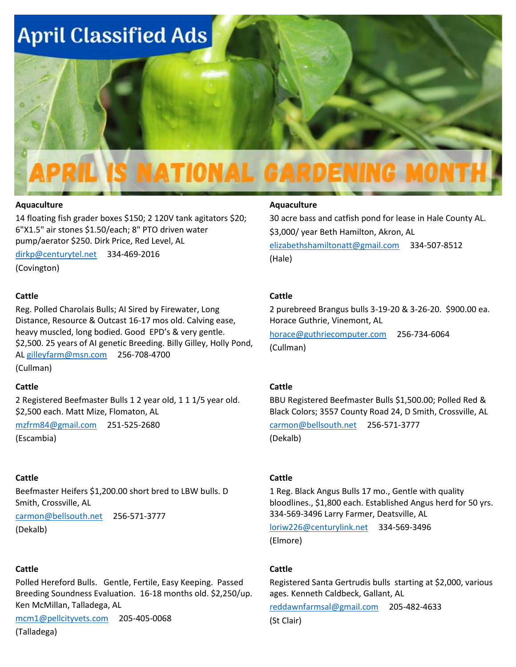

#### **Aquaculture**

14 floating fish grader boxes \$150; 2 120V tank agitators \$20; 6"X1.5" air stones \$1.50/each; 8" PTO driven water pump/aerator \$250. Dirk Price, Red Level, AL

[dirkp@centurytel.net](mailto:dirkp@centurytel.net) 334-469-2016

(Covington)

#### **Cattle**

Reg. Polled Charolais Bulls; AI Sired by Firewater, Long Distance, Resource & Outcast 16-17 mos old. Calving ease, heavy muscled, long bodied. Good EPD's & very gentle. \$2,500. 25 years of AI genetic Breeding. Billy Gilley, Holly Pond, AL [gilleyfarm@msn.com](mailto:gilleyfarm@msn.com) 256-708-4700 (Cullman)

#### **Cattle**

2 Registered Beefmaster Bulls 1 2 year old, 1 1 1/5 year old. \$2,500 each. Matt Mize, Flomaton, AL

[mzfrm84@gmail.com](mailto:mzfrm84@gmail.com) 251-525-2680

(Escambia)

### **Cattle**

Beefmaster Heifers \$1,200.00 short bred to LBW bulls. D Smith, Crossville, AL

[carmon@bellsouth.net](mailto:carmon@bellsouth.net) 256-571-3777 (Dekalb)

### **Cattle**

Polled Hereford Bulls. Gentle, Fertile, Easy Keeping. Passed Breeding Soundness Evaluation. 16-18 months old. \$2,250/up. Ken McMillan, Talladega, AL

[mcm1@pellcityvets.com](mailto:mcm1@pellcityvets.com) 205-405-0068

(Talladega)

#### **Aquaculture**

30 acre bass and catfish pond for lease in Hale County AL. \$3,000/ year Beth Hamilton, Akron, AL [elizabethshamiltonatt@gmail.com](mailto:elizabethshamiltonatt@gmail.com) 334-507-8512 (Hale)

#### **Cattle**

2 purebreed Brangus bulls 3-19-20 & 3-26-20. \$900.00 ea. Horace Guthrie, Vinemont, AL

[horace@guthriecomputer.com](mailto:horace@guthriecomputer.com) 256-734-6064 (Cullman)

### **Cattle**

BBU Registered Beefmaster Bulls \$1,500.00; Polled Red & Black Colors; 3557 County Road 24, D Smith, Crossville, AL [carmon@bellsouth.net](mailto:carmon@bellsouth.net) 256-571-3777

(Dekalb)

#### **Cattle**

1 Reg. Black Angus Bulls 17 mo., Gentle with quality bloodlines., \$1,800 each. Established Angus herd for 50 yrs. 334-569-3496 Larry Farmer, Deatsville, AL

[loriw226@centurylink.net](mailto:loriw226@centurylink.net) 334-569-3496 (Elmore)

#### **Cattle**

Registered Santa Gertrudis bulls starting at \$2,000, various ages. Kenneth Caldbeck, Gallant, AL

[reddawnfarmsal@gmail.com](mailto:reddawnfarmsal@gmail.com) 205-482-4633

(St Clair)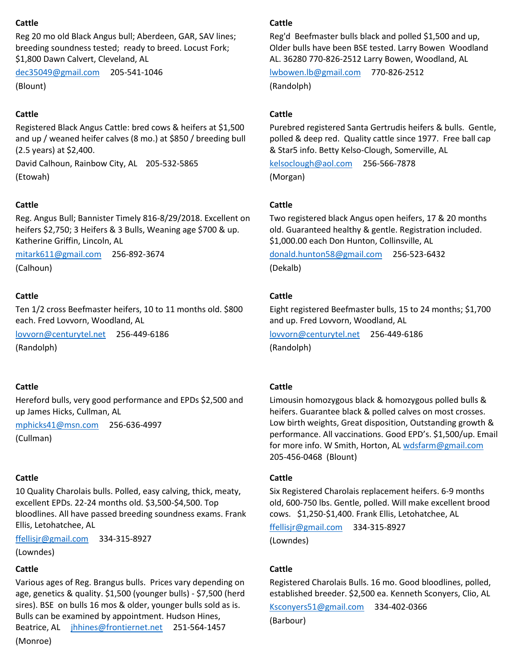### **Cattle**

Reg 20 mo old Black Angus bull; Aberdeen, GAR, SAV lines; breeding soundness tested; ready to breed. Locust Fork; \$1,800 Dawn Calvert, Cleveland, AL

[dec35049@gmail.com](mailto:dec35049@gmail.com) 205-541-1046 (Blount)

## **Cattle**

Registered Black Angus Cattle: bred cows & heifers at \$1,500 and up / weaned heifer calves (8 mo.) at \$850 / breeding bull (2.5 years) at \$2,400.

David Calhoun, Rainbow City, AL 205-532-5865 (Etowah)

### **Cattle**

Reg. Angus Bull; Bannister Timely 816-8/29/2018. Excellent on heifers \$2,750; 3 Heifers & 3 Bulls, Weaning age \$700 & up. Katherine Griffin, Lincoln, AL

[mitark611@gmail.com](mailto:mitark611@gmail.com) 256-892-3674 (Calhoun)

### **Cattle**

Ten 1/2 cross Beefmaster heifers, 10 to 11 months old. \$800 each. Fred Lovvorn, Woodland, AL

[lovvorn@centurytel.net](mailto:lovvorn@centurytel.net) 256-449-6186

(Randolph)

## **Cattle**

Hereford bulls, very good performance and EPDs \$2,500 and up James Hicks, Cullman, AL

[mphicks41@msn.com](mailto:mphicks41@msn.com) 256-636-4997

(Cullman)

### **Cattle**

10 Quality Charolais bulls. Polled, easy calving, thick, meaty, excellent EPDs. 22-24 months old. \$3,500-\$4,500. Top bloodlines. All have passed breeding soundness exams. Frank Ellis, Letohatchee, AL

[ffellisjr@gmail.com](mailto:ffellisjr@gmail.com) 334-315-8927

(Lowndes)

### **Cattle**

Various ages of Reg. Brangus bulls. Prices vary depending on age, genetics & quality. \$1,500 (younger bulls) - \$7,500 (herd sires). BSE on bulls 16 mos & older, younger bulls sold as is. Bulls can be examined by appointment. Hudson Hines, Beatrice, AL [jhhines@frontiernet.net](mailto:jhhines@frontiernet.net) 251-564-1457 (Monroe)

### **Cattle**

Reg'd Beefmaster bulls black and polled \$1,500 and up, Older bulls have been BSE tested. Larry Bowen Woodland AL. 36280 770-826-2512 Larry Bowen, Woodland, AL

[lwbowen.lb@gmail.com](mailto:lwbowen.lb@gmail.com) 770-826-2512 (Randolph)

### **Cattle**

Purebred registered Santa Gertrudis heifers & bulls. Gentle, polled & deep red. Quality cattle since 1977. Free ball cap & Star5 info. Betty Kelso-Clough, Somerville, AL

[kelsoclough@aol.com](mailto:kelsoclough@aol.com) 256-566-7878 (Morgan)

### **Cattle**

Two registered black Angus open heifers, 17 & 20 months old. Guaranteed healthy & gentle. Registration included. \$1,000.00 each Don Hunton, Collinsville, AL

[donald.hunton58@gmail.com](mailto:donald.hunton58@gmail.com) 256-523-6432 (Dekalb)

### **Cattle**

Eight registered Beefmaster bulls, 15 to 24 months; \$1,700 and up. Fred Lovvorn, Woodland, AL

[lovvorn@centurytel.net](mailto:lovvorn@centurytel.net) 256-449-6186 (Randolph)

### **Cattle**

Limousin homozygous black & homozygous polled bulls & heifers. Guarantee black & polled calves on most crosses. Low birth weights, Great disposition, Outstanding growth & performance. All vaccinations. Good EPD's. \$1,500/up. Email for more info. W Smith, Horton, AL [wdsfarm@gmail.com](mailto:wdsfarm@gmail.com) 205-456-0468 (Blount)

### **Cattle**

Six Registered Charolais replacement heifers. 6-9 months old, 600-750 lbs. Gentle, polled. Will make excellent brood cows. \$1,250-\$1,400. Frank Ellis, Letohatchee, AL

[ffellisjr@gmail.com](mailto:ffellisjr@gmail.com) 334-315-8927

(Lowndes)

### **Cattle**

Registered Charolais Bulls. 16 mo. Good bloodlines, polled, established breeder. \$2,500 ea. Kenneth Sconyers, Clio, AL

[Ksconyers51@gmail.com](mailto:Ksconyers51@gmail.com) 334-402-0366

(Barbour)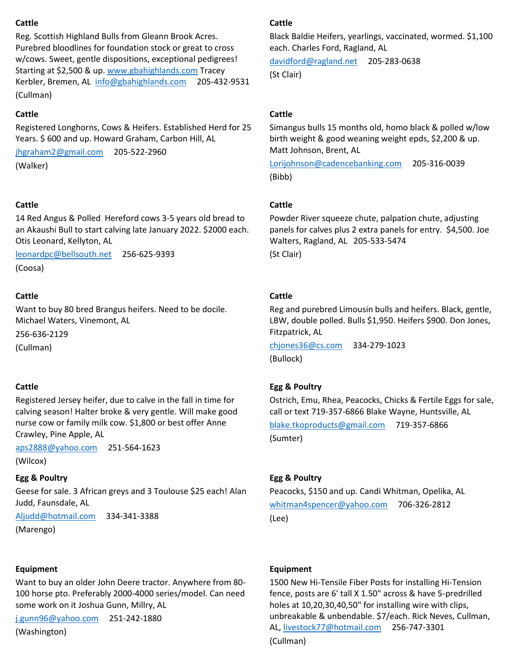## **Cattle**

Reg. Scottish Highland Bulls from Gleann Brook Acres. Purebred bloodlines for foundation stock or great to cross w/cows. Sweet, gentle dispositions, exceptional pedigrees! Starting at \$2,500 & up. [www.gbahighlands.com](http://www.gbahighlands.com/) Tracey Kerbler, Bremen, AL [info@gbahighlands.com](mailto:info@gbahighlands.com) 205-432-9531 (Cullman)

# **Cattle**

Registered Longhorns, Cows & Heifers. Established Herd for 25 Years. \$600 and up. Howard Graham, Carbon Hill, AL

[jhgraham2@gmail.com](mailto:jhgraham2@gmail.com) 205-522-2960 (Walker)

# **Cattle**

14 Red Angus & Polled Hereford cows 3-5 years old bread to an Akaushi Bull to start calving late January 2022. \$2000 each. Otis Leonard, Kellyton, AL

[leonardpc@bellsouth.net](mailto:leonardpc@bellsouth.net) 256-625-9393 (Coosa)

# **Cattle**

Want to buy 80 bred Brangus heifers. Need to be docile. Michael Waters, Vinemont, AL

256-636-2129

(Cullman)

# **Cattle**

Registered Jersey heifer, due to calve in the fall in time for calving season! Halter broke & very gentle. Will make good nurse cow or family milk cow. \$1,800 or best offer Anne Crawley, Pine Apple, AL

[aps2888@yahoo.com](mailto:aps2888@yahoo.com) 251-564-1623

(Wilcox)

## **Egg & Poultry**

Geese for sale. 3 African greys and 3 Toulouse \$25 each! Alan Judd, Faunsdale, AL

[Aljudd@hotmail.com](mailto:Aljudd@hotmail.com) 334-341-3388 (Marengo)

## **Equipment**

Want to buy an older John Deere tractor. Anywhere from 80- 100 horse pto. Preferably 2000-4000 series/model. Can need some work on it Joshua Gunn, Millry, AL

[j.gunn96@yahoo.com](mailto:j.gunn96@yahoo.com) 251-242-1880

(Washington)

## **Cattle**

Black Baldie Heifers, yearlings, vaccinated, wormed. \$1,100 each. Charles Ford, Ragland, AL

[davidford@ragland.net](mailto:davidford@ragland.net) 205-283-0638 (St Clair)

# **Cattle**

Simangus bulls 15 months old, homo black & polled w/low birth weight & good weaning weight epds, \$2,200 & up. Matt Johnson, Brent, AL

[Lorijohnson@cadencebanking.com](mailto:Lorijohnson@cadencebanking.com) 205-316-0039 (Bibb)

## **Cattle**

Powder River squeeze chute, palpation chute, adjusting panels for calves plus 2 extra panels for entry. \$4,500. Joe Walters, Ragland, AL 205-533-5474 (St Clair)

# **Cattle**

Reg and purebred Limousin bulls and heifers. Black, gentle, LBW, double polled. Bulls \$1,950. Heifers \$900. Don Jones, Fitzpatrick, AL

[chjones36@cs.com](mailto:chjones36@cs.com) 334-279-1023 (Bullock)

# **Egg & Poultry**

Ostrich, Emu, Rhea, Peacocks, Chicks & Fertile Eggs for sale, call or text 719-357-6866 Blake Wayne, Huntsville, AL

[blake.tkoproducts@gmail.com](mailto:blake.tkoproducts@gmail.com) 719-357-6866 (Sumter)

## **Egg & Poultry**

Peacocks, \$150 and up. Candi Whitman, Opelika, AL [whitman4spencer@yahoo.com](mailto:whitman4spencer@yahoo.com) 706-326-2812 (Lee)

## **Equipment**

1500 New Hi-Tensile Fiber Posts for installing Hi-Tension fence, posts are 6' tall X 1.50" across & have 5-predrilled holes at 10,20,30,40,50" for installing wire with clips, unbreakable & unbendable. \$7/each. Rick Neves, Cullman, AL, [livestock77@hotmail.com](mailto:livestock77@hotmail.com) 256-747-3301 (Cullman)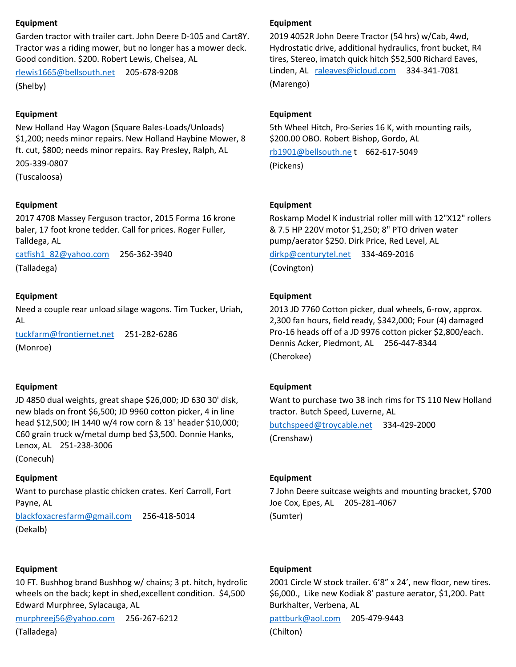### **Equipment**

Garden tractor with trailer cart. John Deere D-105 and Cart8Y. Tractor was a riding mower, but no longer has a mower deck. Good condition. \$200. Robert Lewis, Chelsea, AL

[rlewis1665@bellsouth.net](mailto:rlewis1665@bellsouth.net) 205-678-9208 (Shelby)

#### **Equipment**

New Holland Hay Wagon (Square Bales-Loads/Unloads) \$1,200; needs minor repairs. New Holland Haybine Mower, 8 ft. cut, \$800; needs minor repairs. Ray Presley, Ralph, AL 205-339-0807

(Tuscaloosa)

#### **Equipment**

2017 4708 Massey Ferguson tractor, 2015 Forma 16 krone baler, 17 foot krone tedder. Call for prices. Roger Fuller, Talldega, AL

[catfish1\\_82@yahoo.com](mailto:catfish1_82@yahoo.com) 256-362-3940

(Talladega)

### **Equipment**

Need a couple rear unload silage wagons. Tim Tucker, Uriah, AL

[tuckfarm@frontiernet.net](mailto:tuckfarm@frontiernet.net) 251-282-6286 (Monroe)

#### **Equipment**

JD 4850 dual weights, great shape \$26,000; JD 630 30' disk, new blads on front \$6,500; JD 9960 cotton picker, 4 in line head \$12,500; IH 1440 w/4 row corn & 13' header \$10,000; C60 grain truck w/metal dump bed \$3,500. Donnie Hanks, Lenox, AL 251-238-3006 (Conecuh)

**Equipment**

Want to purchase plastic chicken crates. Keri Carroll, Fort Payne, AL

[blackfoxacresfarm@gmail.com](mailto:blackfoxacresfarm@gmail.com) 256-418-5014 (Dekalb)

#### **Equipment**

10 FT. Bushhog brand Bushhog w/ chains; 3 pt. hitch, hydrolic wheels on the back; kept in shed,excellent condition. \$4,500 Edward Murphree, Sylacauga, AL

[murphreej56@yahoo.com](mailto:murphreej56@yahoo.com) 256-267-6212

(Talladega)

#### **Equipment**

2019 4052R John Deere Tractor (54 hrs) w/Cab, 4wd, Hydrostatic drive, additional hydraulics, front bucket, R4 tires, Stereo, imatch quick hitch \$52,500 Richard Eaves, Linden, AL [raleaves@icloud.com](mailto:raleaves@icloud.com) 334-341-7081 (Marengo)

#### **Equipment**

5th Wheel Hitch, Pro-Series 16 K, with mounting rails, \$200.00 OBO. Robert Bishop, Gordo, AL

[rb1901@bellsouth.ne](mailto:rb1901@bellsouth.ne) t 662-617-5049 (Pickens)

#### **Equipment**

Roskamp Model K industrial roller mill with 12"X12" rollers & 7.5 HP 220V motor \$1,250; 8" PTO driven water pump/aerator \$250. Dirk Price, Red Level, AL

[dirkp@centurytel.net](mailto:dirkp@centurytel.net) 334-469-2016 (Covington)

#### **Equipment**

2013 JD 7760 Cotton picker, dual wheels, 6-row, approx. 2,300 fan hours, field ready, \$342,000; Four (4) damaged Pro-16 heads off of a JD 9976 cotton picker \$2,800/each. Dennis Acker, Piedmont, AL 256-447-8344 (Cherokee)

### **Equipment**

Want to purchase two 38 inch rims for TS 110 New Holland tractor. Butch Speed, Luverne, AL

[butchspeed@troycable.net](mailto:butchspeed@troycable.net) 334-429-2000 (Crenshaw)

#### **Equipment**

7 John Deere suitcase weights and mounting bracket, \$700 Joe Cox, Epes, AL 205-281-4067 (Sumter)

#### **Equipment**

2001 Circle W stock trailer. 6'8" x 24', new floor, new tires. \$6,000., Like new Kodiak 8' pasture aerator, \$1,200. Patt Burkhalter, Verbena, AL

[pattburk@aol.com](mailto:pattburk@aol.com) 205-479-9443

(Chilton)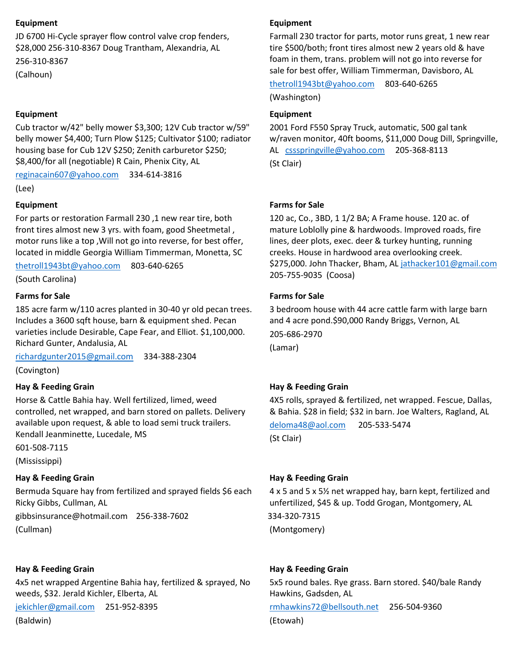### **Equipment**

JD 6700 Hi-Cycle sprayer flow control valve crop fenders, \$28,000 256-310-8367 Doug Trantham, Alexandria, AL 256-310-8367

(Calhoun)

### **Equipment**

Cub tractor w/42" belly mower \$3,300; 12V Cub tractor w/59" belly mower \$4,400; Turn Plow \$125; Cultivator \$100; radiator housing base for Cub 12V \$250; Zenith carburetor \$250; \$8,400/for all (negotiable) R Cain, Phenix City, AL

[reginacain607@yahoo.com](mailto:reginacain607@yahoo.com) 334-614-3816

(Lee)

### **Equipment**

For parts or restoration Farmall 230 ,1 new rear tire, both front tires almost new 3 yrs. with foam, good Sheetmetal , motor runs like a top ,Will not go into reverse, for best offer, located in middle Georgia William Timmerman, Monetta, SC

[thetroll1943bt@yahoo.com](mailto:thetroll1943bt@yahoo.com) 803-640-6265

(South Carolina)

### **Farms for Sale**

185 acre farm w/110 acres planted in 30-40 yr old pecan trees. Includes a 3600 sqft house, barn & equipment shed. Pecan varieties include Desirable, Cape Fear, and Elliot. \$1,100,000. Richard Gunter, Andalusia, AL

[richardgunter2015@gmail.com](mailto:richardgunter2015@gmail.com) 334-388-2304 (Covington)

## **Hay & Feeding Grain**

Horse & Cattle Bahia hay. Well fertilized, limed, weed controlled, net wrapped, and barn stored on pallets. Delivery available upon request, & able to load semi truck trailers. Kendall Jeanminette, Lucedale, MS

601-508-7115 (Mississippi)

## **Hay & Feeding Grain**

Bermuda Square hay from fertilized and sprayed fields \$6 each Ricky Gibbs, Cullman, AL

gibbsinsurance@hotmail.com 256-338-7602 (Cullman)

### **Hay & Feeding Grain**

4x5 net wrapped Argentine Bahia hay, fertilized & sprayed, No weeds, \$32. Jerald Kichler, Elberta, AL

[jekichler@gmail.com](mailto:jekichler@gmail.com) 251-952-8395

(Baldwin)

## **Equipment**

Farmall 230 tractor for parts, motor runs great, 1 new rear tire \$500/both; front tires almost new 2 years old & have foam in them, trans. problem will not go into reverse for sale for best offer, William Timmerman, Davisboro, AL

[thetroll1943bt@yahoo.com](mailto:thetroll1943bt@yahoo.com) 803-640-6265

(Washington)

## **Equipment**

2001 Ford F550 Spray Truck, automatic, 500 gal tank w/raven monitor, 40ft booms, \$11,000 Doug Dill, Springville, AL [cssspringville@yahoo.com](mailto:cssspringville@yahoo.com) 205-368-8113 (St Clair)

### **Farms for Sale**

120 ac, Co., 3BD, 1 1/2 BA; A Frame house. 120 ac. of mature Loblolly pine & hardwoods. Improved roads, fire lines, deer plots, exec. deer & turkey hunting, running creeks. House in hardwood area overlooking creek. \$275,000. John Thacker, Bham, A[L jathacker101@gmail.com](mailto:jathacker101@gmail.com) 205-755-9035 (Coosa)

## **Farms for Sale**

3 bedroom house with 44 acre cattle farm with large barn and 4 acre pond.\$90,000 Randy Briggs, Vernon, AL 205-686-2970 (Lamar)

## **Hay & Feeding Grain**

4X5 rolls, sprayed & fertilized, net wrapped. Fescue, Dallas, & Bahia. \$28 in field; \$32 in barn. Joe Walters, Ragland, AL

[deloma48@aol.com](mailto:deloma48@aol.com) 205-533-5474 (St Clair)

## **Hay & Feeding Grain**

4 x 5 and 5 x 5½ net wrapped hay, barn kept, fertilized and unfertilized, \$45 & up. Todd Grogan, Montgomery, AL

334-320-7315 (Montgomery)

## **Hay & Feeding Grain**

5x5 round bales. Rye grass. Barn stored. \$40/bale Randy Hawkins, Gadsden, AL [rmhawkins72@bellsouth.net](mailto:rmhawkins72@bellsouth.net) 256-504-9360 (Etowah)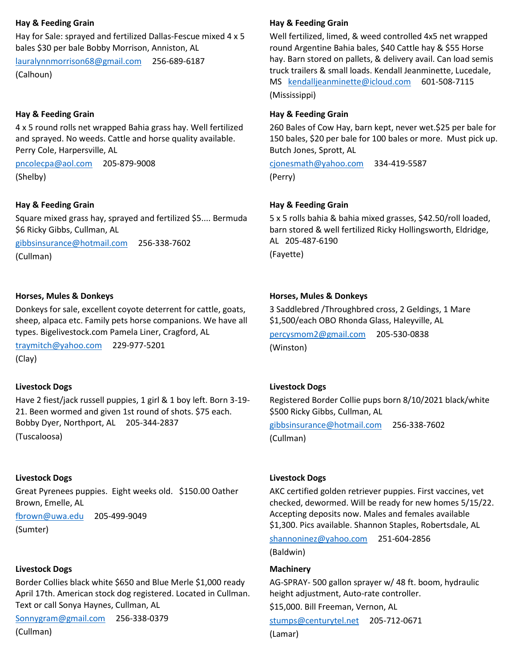### **Hay & Feeding Grain**

Hay for Sale: sprayed and fertilized Dallas-Fescue mixed 4 x 5 bales \$30 per bale Bobby Morrison, Anniston, AL

[lauralynnmorrison68@gmail.com](mailto:lauralynnmorrison68@gmail.com) 256-689-6187 (Calhoun)

## **Hay & Feeding Grain**

4 x 5 round rolls net wrapped Bahia grass hay. Well fertilized and sprayed. No weeds. Cattle and horse quality available. Perry Cole, Harpersville, AL

[pncolecpa@aol.com](mailto:pncolecpa@aol.com) 205-879-9008 (Shelby)

### **Hay & Feeding Grain**

Square mixed grass hay, sprayed and fertilized \$5.... Bermuda \$6 Ricky Gibbs, Cullman, AL

[gibbsinsurance@hotmail.com](mailto:gibbsinsurance@hotmail.com) 256-338-7602 (Cullman)

### **Horses, Mules & Donkeys**

Donkeys for sale, excellent coyote deterrent for cattle, goats, sheep, alpaca etc. Family pets horse companions. We have all types. Bigelivestock.com Pamela Liner, Cragford, AL

[traymitch@yahoo.com](mailto:traymitch@yahoo.com) 229-977-5201 (Clay)

### **Livestock Dogs**

Have 2 fiest/jack russell puppies, 1 girl & 1 boy left. Born 3-19- 21. Been wormed and given 1st round of shots. \$75 each. Bobby Dyer, Northport, AL 205-344-2837

(Tuscaloosa)

### **Livestock Dogs**

Great Pyrenees puppies. Eight weeks old. \$150.00 Oather Brown, Emelle, AL

[fbrown@uwa.edu](mailto:fbrown@uwa.edu) 205-499-9049

(Sumter)

### **Livestock Dogs**

Border Collies black white \$650 and Blue Merle \$1,000 ready April 17th. American stock dog registered. Located in Cullman. Text or call Sonya Haynes, Cullman, AL

[Sonnygram@gmail.com](mailto:Sonnygram@gmail.com) 256-338-0379

(Cullman)

### **Hay & Feeding Grain**

Well fertilized, limed, & weed controlled 4x5 net wrapped round Argentine Bahia bales, \$40 Cattle hay & \$55 Horse hay. Barn stored on pallets, & delivery avail. Can load semis truck trailers & small loads. Kendall Jeanminette, Lucedale, MS [kendalljeanminette@icloud.com](mailto:kendalljeanminette@icloud.com) 601-508-7115 (Mississippi)

### **Hay & Feeding Grain**

260 Bales of Cow Hay, barn kept, never wet.\$25 per bale for 150 bales, \$20 per bale for 100 bales or more. Must pick up. Butch Jones, Sprott, AL

[cjonesmath@yahoo.com](mailto:cjonesmath@yahoo.com) 334-419-5587 (Perry)

### **Hay & Feeding Grain**

5 x 5 rolls bahia & bahia mixed grasses, \$42.50/roll loaded, barn stored & well fertilized Ricky Hollingsworth, Eldridge, AL 205-487-6190 (Fayette)

### **Horses, Mules & Donkeys**

3 Saddlebred /Throughbred cross, 2 Geldings, 1 Mare \$1,500/each OBO Rhonda Glass, Haleyville, AL

[percysmom2@gmail.com](mailto:percysmom2@gmail.com) 205-530-0838 (Winston)

## **Livestock Dogs**

Registered Border Collie pups born 8/10/2021 black/white \$500 Ricky Gibbs, Cullman, AL [gibbsinsurance@hotmail.com](mailto:gibbsinsurance@hotmail.com) 256-338-7602 (Cullman)

**Livestock Dogs**

AKC certified golden retriever puppies. First vaccines, vet checked, dewormed. Will be ready for new homes 5/15/22. Accepting deposits now. Males and females available \$1,300. Pics available. Shannon Staples, Robertsdale, AL

[shannoninez@yahoo.com](mailto:shannoninez@yahoo.com) 251-604-2856

(Baldwin)

### **Machinery**

AG-SPRAY- 500 gallon sprayer w/ 48 ft. boom, hydraulic height adjustment, Auto-rate controller.

\$15,000. Bill Freeman, Vernon, AL [stumps@centurytel.net](mailto:stumps@centurytel.net) 205-712-0671 (Lamar)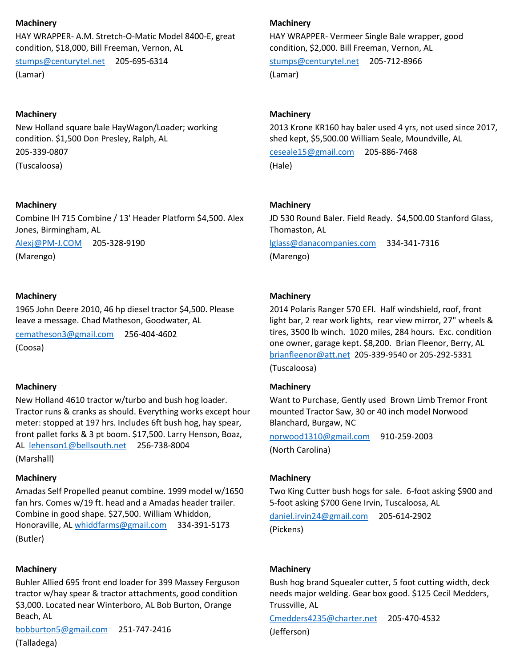#### **Machinery**

HAY WRAPPER- A.M. Stretch-O-Matic Model 8400-E, great condition, \$18,000, Bill Freeman, Vernon, AL

[stumps@centurytel.net](mailto:stumps@centurytel.net) 205-695-6314 (Lamar)

### **Machinery**

New Holland square bale HayWagon/Loader; working condition. \$1,500 Don Presley, Ralph, AL

205-339-0807

(Tuscaloosa)

### **Machinery**

Combine IH 715 Combine / 13' Header Platform \$4,500. Alex Jones, Birmingham, AL

[Alexj@PM-J.COM](mailto:Alexj@PM-J.COM) 205-328-9190

(Marengo)

### **Machinery**

1965 John Deere 2010, 46 hp diesel tractor \$4,500. Please leave a message. Chad Matheson, Goodwater, AL

[cematheson3@gmail.com](mailto:cematheson3@gmail.com) 256-404-4602 (Coosa)

### **Machinery**

New Holland 4610 tractor w/turbo and bush hog loader. Tractor runs & cranks as should. Everything works except hour meter: stopped at 197 hrs. Includes 6ft bush hog, hay spear, front pallet forks & 3 pt boom. \$17,500. Larry Henson, Boaz, AL [lehenson1@bellsouth.net](mailto:lehenson1@bellsouth.net) 256-738-8004 (Marshall)

#### **Machinery**

Amadas Self Propelled peanut combine. 1999 model w/1650 fan hrs. Comes w/19 ft. head and a Amadas header trailer. Combine in good shape. \$27,500. William Whiddon, Honoraville, A[L whiddfarms@gmail.com](mailto:whiddfarms@gmail.com) 334-391-5173 (Butler)

#### **Machinery**

Buhler Allied 695 front end loader for 399 Massey Ferguson tractor w/hay spear & tractor attachments, good condition \$3,000. Located near Winterboro, AL Bob Burton, Orange Beach, AL

[bobburton5@gmail.com](mailto:bobburton5@gmail.com) 251-747-2416 (Talladega)

#### **Machinery**

HAY WRAPPER- Vermeer Single Bale wrapper, good condition, \$2,000. Bill Freeman, Vernon, AL

[stumps@centurytel.net](mailto:stumps@centurytel.net) 205-712-8966 (Lamar)

### **Machinery**

2013 Krone KR160 hay baler used 4 yrs, not used since 2017, shed kept, \$5,500.00 William Seale, Moundville, AL

[ceseale15@gmail.com](mailto:ceseale15@gmail.com) 205-886-7468 (Hale)

#### **Machinery**

JD 530 Round Baler. Field Ready. \$4,500.00 Stanford Glass, Thomaston, AL

[lglass@danacompanies.com](mailto:lglass@danacompanies.com) 334-341-7316 (Marengo)

### **Machinery**

2014 Polaris Ranger 570 EFI. Half windshield, roof, front light bar, 2 rear work lights, rear view mirror, 27" wheels & tires, 3500 lb winch. 1020 miles, 284 hours. Exc. condition one owner, garage kept. \$8,200. Brian Fleenor, Berry, AL [brianfleenor@att.net](mailto:brianfleenor@att.net) 205-339-9540 or 205-292-5331 (Tuscaloosa)

### **Machinery**

Want to Purchase, Gently used Brown Limb Tremor Front mounted Tractor Saw, 30 or 40 inch model Norwood Blanchard, Burgaw, NC

[norwood1310@gmail.com](mailto:norwood1310@gmail.com) 910-259-2003 (North Carolina)

### **Machinery**

Two King Cutter bush hogs for sale. 6-foot asking \$900 and 5-foot asking \$700 Gene Irvin, Tuscaloosa, AL

[daniel.irvin24@gmail.com](mailto:daniel.irvin24@gmail.com) 205-614-2902 (Pickens)

### **Machinery**

Bush hog brand Squealer cutter, 5 foot cutting width, deck needs major welding. Gear box good. \$125 Cecil Medders, Trussville, AL

[Cmedders4235@charter.net](mailto:Cmedders4235@charter.net) 205-470-4532 (Jefferson)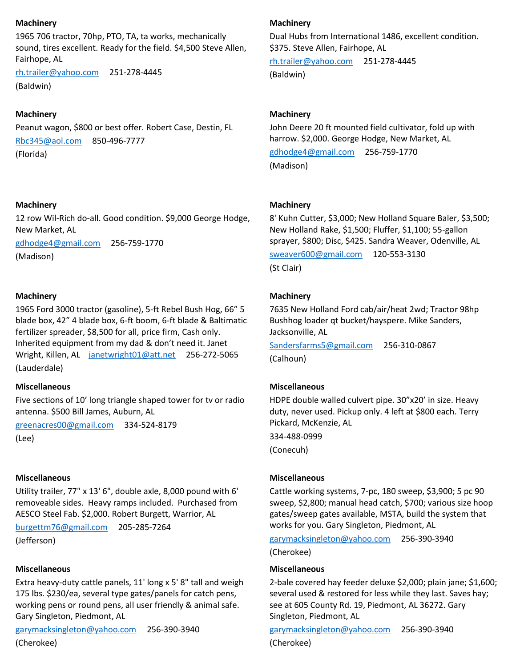### **Machinery**

1965 706 tractor, 70hp, PTO, TA, ta works, mechanically sound, tires excellent. Ready for the field. \$4,500 Steve Allen, Fairhope, AL

[rh.trailer@yahoo.com](mailto:rh.trailer@yahoo.com) 251-278-4445 (Baldwin)

## **Machinery**

Peanut wagon, \$800 or best offer. Robert Case, Destin, FL [Rbc345@aol.com](mailto:Rbc345@aol.com) 850-496-7777 (Florida)

### **Machinery**

12 row Wil-Rich do-all. Good condition. \$9,000 George Hodge, New Market, AL

[gdhodge4@gmail.com](mailto:gdhodge4@gmail.com) 256-759-1770 (Madison)

### **Machinery**

1965 Ford 3000 tractor (gasoline), 5-ft Rebel Bush Hog, 66" 5 blade box, 42" 4 blade box, 6-ft boom, 6-ft blade & Baltimatic fertilizer spreader, \$8,500 for all, price firm, Cash only. Inherited equipment from my dad & don't need it. Janet Wright, Killen, AL [janetwright01@att.net](mailto:janetwright01@att.net) 256-272-5065 (Lauderdale)

#### **Miscellaneous**

Five sections of 10' long triangle shaped tower for tv or radio antenna. \$500 Bill James, Auburn, AL

[greenacres00@gmail.com](mailto:greenacres00@gmail.com) 334-524-8179 (Lee)

#### **Miscellaneous**

Utility trailer, 77" x 13' 6", double axle, 8,000 pound with 6' removeable sides. Heavy ramps included. Purchased from AESCO Steel Fab. \$2,000. Robert Burgett, Warrior, AL

[burgettm76@gmail.com](mailto:burgettm76@gmail.com) 205-285-7264

(Jefferson)

#### **Miscellaneous**

Extra heavy-duty cattle panels, 11' long x 5' 8" tall and weigh 175 lbs. \$230/ea, several type gates/panels for catch pens, working pens or round pens, all user friendly & animal safe. Gary Singleton, Piedmont, AL

[garymacksingleton@yahoo.com](mailto:garymacksingleton@yahoo.com) 256-390-3940 (Cherokee)

### **Machinery**

Dual Hubs from International 1486, excellent condition. \$375. Steve Allen, Fairhope, AL

[rh.trailer@yahoo.com](mailto:rh.trailer@yahoo.com) 251-278-4445 (Baldwin)

### **Machinery**

John Deere 20 ft mounted field cultivator, fold up with harrow. \$2,000. George Hodge, New Market, AL [gdhodge4@gmail.com](mailto:gdhodge4@gmail.com) 256-759-1770

(Madison)

#### **Machinery**

8' Kuhn Cutter, \$3,000; New Holland Square Baler, \$3,500; New Holland Rake, \$1,500; Fluffer, \$1,100; 55-gallon sprayer, \$800; Disc, \$425. Sandra Weaver, Odenville, AL

[sweaver600@gmail.com](mailto:sweaver600@gmail.com) 120-553-3130 (St Clair)

### **Machinery**

7635 New Holland Ford cab/air/heat 2wd; Tractor 98hp Bushhog loader qt bucket/hayspere. Mike Sanders, Jacksonville, AL

[Sandersfarms5@gmail.com](mailto:Sandersfarms5@gmail.com) 256-310-0867 (Calhoun)

### **Miscellaneous**

HDPE double walled culvert pipe. 30"x20' in size. Heavy duty, never used. Pickup only. 4 left at \$800 each. Terry Pickard, McKenzie, AL

334-488-0999 (Conecuh)

### **Miscellaneous**

Cattle working systems, 7-pc, 180 sweep, \$3,900; 5 pc 90 sweep, \$2,800; manual head catch, \$700; various size hoop gates/sweep gates available, MSTA, build the system that works for you. Gary Singleton, Piedmont, AL

[garymacksingleton@yahoo.com](mailto:garymacksingleton@yahoo.com) 256-390-3940 (Cherokee)

#### **Miscellaneous**

2-bale covered hay feeder deluxe \$2,000; plain jane; \$1,600; several used & restored for less while they last. Saves hay; see at 605 County Rd. 19, Piedmont, AL 36272. Gary Singleton, Piedmont, AL

[garymacksingleton@yahoo.com](mailto:garymacksingleton@yahoo.com) 256-390-3940 (Cherokee)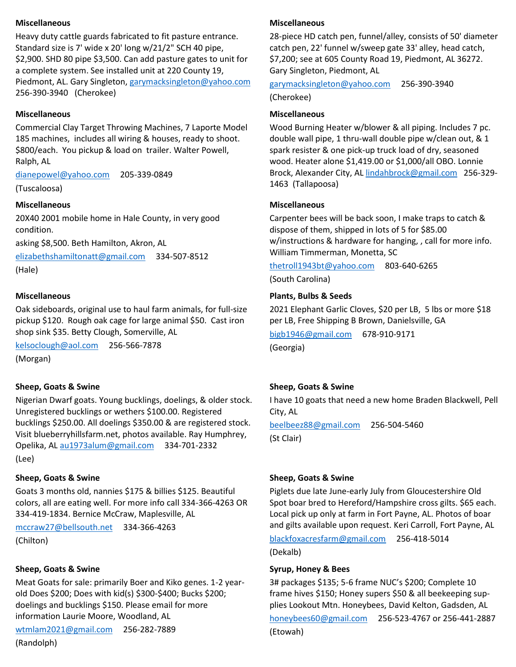### **Miscellaneous**

Heavy duty cattle guards fabricated to fit pasture entrance. Standard size is 7' wide x 20' long w/21/2" SCH 40 pipe, \$2,900. SHD 80 pipe \$3,500. Can add pasture gates to unit for a complete system. See installed unit at 220 County 19, Piedmont, AL. Gary Singleton, [garymacksingleton@yahoo.com](mailto:garymacksingleton@yahoo.com) 256-390-3940 (Cherokee)

## **Miscellaneous**

Commercial Clay Target Throwing Machines, 7 Laporte Model 185 machines, includes all wiring & houses, ready to shoot. \$800/each. You pickup & load on trailer. Walter Powell, Ralph, AL

[dianepowel@yahoo.com](mailto:dianepowel@yahoo.com) 205-339-0849

(Tuscaloosa)

## **Miscellaneous**

20X40 2001 mobile home in Hale County, in very good condition.

asking \$8,500. Beth Hamilton, Akron, AL

[elizabethshamiltonatt@gmail.com](mailto:elizabethshamiltonatt@gmail.com) 334-507-8512 (Hale)

## **Miscellaneous**

Oak sideboards, original use to haul farm animals, for full-size pickup \$120. Rough oak cage for large animal \$50. Cast iron shop sink \$35. Betty Clough, Somerville, AL

[kelsoclough@aol.com](mailto:kelsoclough@aol.com) 256-566-7878

(Morgan)

## **Sheep, Goats & Swine**

Nigerian Dwarf goats. Young bucklings, doelings, & older stock. Unregistered bucklings or wethers \$100.00. Registered bucklings \$250.00. All doelings \$350.00 & are registered stock. Visit blueberryhillsfarm.net, photos available. Ray Humphrey, Opelika, AL [au1973alum@gmail.com](mailto:au1973alum@gmail.com) 334-701-2332 (Lee)

## **Sheep, Goats & Swine**

Goats 3 months old, nannies \$175 & billies \$125. Beautiful colors, all are eating well. For more info call 334-366-4263 OR 334-419-1834. Bernice McCraw, Maplesville, AL

[mccraw27@bellsouth.net](mailto:mccraw27@bellsouth.net) 334-366-4263

(Chilton)

### **Sheep, Goats & Swine**

Meat Goats for sale: primarily Boer and Kiko genes. 1-2 yearold Does \$200; Does with kid(s) \$300-\$400; Bucks \$200; doelings and bucklings \$150. Please email for more information Laurie Moore, Woodland, AL

[wtmlam2021@gmail.com](mailto:wtmlam2021@gmail.com) 256-282-7889 (Randolph)

## **Miscellaneous**

28-piece HD catch pen, funnel/alley, consists of 50' diameter catch pen, 22' funnel w/sweep gate 33' alley, head catch, \$7,200; see at 605 County Road 19, Piedmont, AL 36272. Gary Singleton, Piedmont, AL

[garymacksingleton@yahoo.com](mailto:garymacksingleton@yahoo.com) 256-390-3940

(Cherokee)

## **Miscellaneous**

Wood Burning Heater w/blower & all piping. Includes 7 pc. double wall pipe, 1 thru-wall double pipe w/clean out, & 1 spark resister & one pick-up truck load of dry, seasoned wood. Heater alone \$1,419.00 or \$1,000/all OBO. Lonnie Brock, Alexander City, AL [lindahbrock@gmail.com](mailto:lindahbrock@gmail.com) 256-329- 1463 (Tallapoosa)

### **Miscellaneous**

Carpenter bees will be back soon, I make traps to catch & dispose of them, shipped in lots of 5 for \$85.00 w/instructions & hardware for hanging, , call for more info. William Timmerman, Monetta, SC

[thetroll1943bt@yahoo.com](mailto:thetroll1943bt@yahoo.com) 803-640-6265

(South Carolina)

## **Plants, Bulbs & Seeds**

2021 Elephant Garlic Cloves, \$20 per LB, 5 lbs or more \$18 per LB, Free Shipping B Brown, Danielsville, GA

[bigb1946@gmail.com](mailto:bigb1946@gmail.com) 678-910-9171

(Georgia)

# **Sheep, Goats & Swine**

I have 10 goats that need a new home Braden Blackwell, Pell City, AL

[beelbeez88@gmail.com](mailto:beelbeez88@gmail.com) 256-504-5460 (St Clair)

## **Sheep, Goats & Swine**

Piglets due late June-early July from Gloucestershire Old Spot boar bred to Hereford/Hampshire cross gilts. \$65 each. Local pick up only at farm in Fort Payne, AL. Photos of boar and gilts available upon request. Keri Carroll, Fort Payne, AL

[blackfoxacresfarm@gmail.com](mailto:blackfoxacresfarm@gmail.com) 256-418-5014

(Dekalb)

## **Syrup, Honey & Bees**

3# packages \$135; 5-6 frame NUC's \$200; Complete 10 frame hives \$150; Honey supers \$50 & all beekeeping supplies Lookout Mtn. Honeybees, David Kelton, Gadsden, AL

[honeybees60@gmail.com](mailto:honeybees60@gmail.com) 256-523-4767 or 256-441-2887 (Etowah)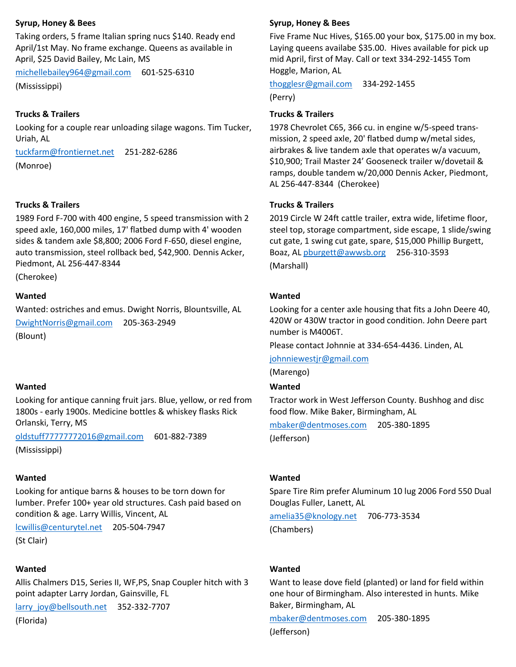### **Syrup, Honey & Bees**

Taking orders, 5 frame Italian spring nucs \$140. Ready end April/1st May. No frame exchange. Queens as available in April, \$25 David Bailey, Mc Lain, MS

[michellebailey964@gmail.com](mailto:michellebailey964@gmail.com) 601-525-6310 (Mississippi)

### **Trucks & Trailers**

Looking for a couple rear unloading silage wagons. Tim Tucker, Uriah, AL

[tuckfarm@frontiernet.net](mailto:tuckfarm@frontiernet.net) 251-282-6286 (Monroe)

#### **Trucks & Trailers**

1989 Ford F-700 with 400 engine, 5 speed transmission with 2 speed axle, 160,000 miles, 17' flatbed dump with 4' wooden sides & tandem axle \$8,800; 2006 Ford F-650, diesel engine, auto transmission, steel rollback bed, \$42,900. Dennis Acker, Piedmont, AL 256-447-8344

(Cherokee)

#### **Wanted**

Wanted: ostriches and emus. Dwight Norris, Blountsville, AL [DwightNorris@gmail.com](mailto:DwightNorris@gmail.com) 205-363-2949 (Blount)

### **Wanted**

Looking for antique canning fruit jars. Blue, yellow, or red from 1800s - early 1900s. Medicine bottles & whiskey flasks Rick Orlanski, Terry, MS

[oldstuff77777772016@gmail.com](mailto:oldstuff77777772016@gmail.com) 601-882-7389 (Mississippi)

#### **Wanted**

Looking for antique barns & houses to be torn down for lumber. Prefer 100+ year old structures. Cash paid based on condition & age. Larry Willis, Vincent, AL

[lcwillis@centurytel.net](mailto:lcwillis@centurytel.net) 205-504-7947

(St Clair)

#### **Wanted**

Allis Chalmers D15, Series II, WF,PS, Snap Coupler hitch with 3 point adapter Larry Jordan, Gainsville, FL

[larry\\_joy@bellsouth.net](mailto:larry_joy@bellsouth.net) 352-332-7707

(Florida)

#### **Syrup, Honey & Bees**

Five Frame Nuc Hives, \$165.00 your box, \$175.00 in my box. Laying queens availabe \$35.00. Hives available for pick up mid April, first of May. Call or text 334-292-1455 Tom Hoggle, Marion, AL

[thogglesr@gmail.com](mailto:thogglesr@gmail.com) 334-292-1455

(Perry)

## **Trucks & Trailers**

1978 Chevrolet C65, 366 cu. in engine w/5-speed transmission, 2 speed axle, 20' flatbed dump w/metal sides, airbrakes & live tandem axle that operates w/a vacuum, \$10,900; Trail Master 24' Gooseneck trailer w/dovetail & ramps, double tandem w/20,000 Dennis Acker, Piedmont, AL 256-447-8344 (Cherokee)

#### **Trucks & Trailers**

2019 Circle W 24ft cattle trailer, extra wide, lifetime floor, steel top, storage compartment, side escape, 1 slide/swing cut gate, 1 swing cut gate, spare, \$15,000 Phillip Burgett, Boaz, AL [pburgett@awwsb.org](mailto:pburgett@awwsb.org) 256-310-3593 (Marshall)

#### **Wanted**

Looking for a center axle housing that fits a John Deere 40, 420W or 430W tractor in good condition. John Deere part number is M4006T.

Please contact Johnnie at 334-654-4436. Linden, AL

[johnniewestjr@gmail.com](mailto:johnniewestjr@gmail.com)

(Marengo)

### **Wanted**

Tractor work in West Jefferson County. Bushhog and disc food flow. Mike Baker, Birmingham, AL

[mbaker@dentmoses.com](mailto:mbaker@dentmoses.com) 205-380-1895 (Jefferson)

#### **Wanted**

Spare Tire Rim prefer Aluminum 10 lug 2006 Ford 550 Dual Douglas Fuller, Lanett, AL

[amelia35@knology.net](mailto:amelia35@knology.net) 706-773-3534 (Chambers)

#### **Wanted**

Want to lease dove field (planted) or land for field within one hour of Birmingham. Also interested in hunts. Mike Baker, Birmingham, AL

[mbaker@dentmoses.com](mailto:mbaker@dentmoses.com) 205-380-1895 (Jefferson)